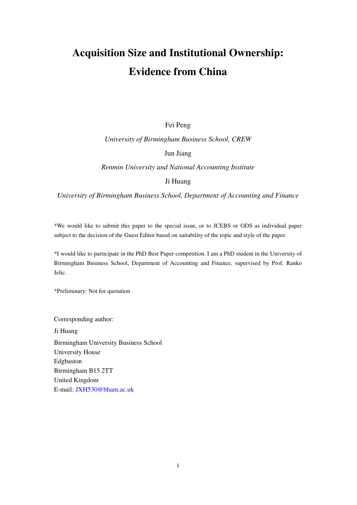# **Acquisition Size and Institutional Ownership: Evidence from China**

#### Fei Peng

#### *University of Birmingham Business School, CREW*

Jun Jiang

*Renmin University and National Accounting Institute* 

#### Ji Huang

*University of Birmingham Business School, Department of Accounting and Finance* 

\*We would like to submit this paper to the special issue, or to JCEBS or ODS as individual paper subject to the decision of the Guest Editor based on suitability of the topic and style of the paper.

\*I would like to participate in the PhD Best Paper competition. I am a PhD student in the University of Birmingham Business School, Department of Accounting and Finance, supervised by Prof. Ranko Jelic.

\*Preliminary: Not for quotation

Corresponding author: Ji Huang

Birmingham University Business School University House Edgbaston Birmingham B15 2TT United Kingdom E-mail: JXH530@bham.ac.uk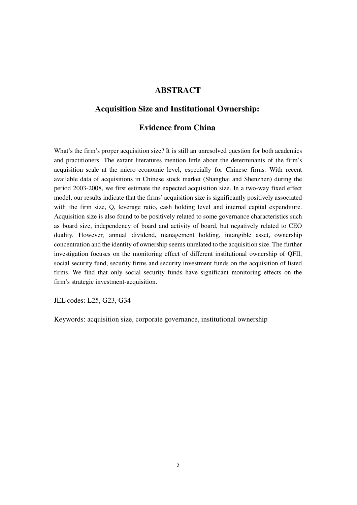### **ABSTRACT**

### **Acquisition Size and Institutional Ownership:**

### **Evidence from China**

What's the firm's proper acquisition size? It is still an unresolved question for both academics and practitioners. The extant literatures mention little about the determinants of the firm's acquisition scale at the micro economic level, especially for Chinese firms. With recent available data of acquisitions in Chinese stock market (Shanghai and Shenzhen) during the period 2003-2008, we first estimate the expected acquisition size. In a two-way fixed effect model, our results indicate that the firms' acquisition size is significantly positively associated with the firm size, Q, leverage ratio, cash holding level and internal capital expenditure. Acquisition size is also found to be positively related to some governance characteristics such as board size, independency of board and activity of board, but negatively related to CEO duality. However, annual dividend, management holding, intangible asset, ownership concentration and the identity of ownership seems unrelated to the acquisition size. The further investigation focuses on the monitoring effect of different institutional ownership of QFII, social security fund, security firms and security investment funds on the acquisition of listed firms. We find that only social security funds have significant monitoring effects on the firm's strategic investment-acquisition.

JEL codes: L25, G23, G34

Keywords: acquisition size, corporate governance, institutional ownership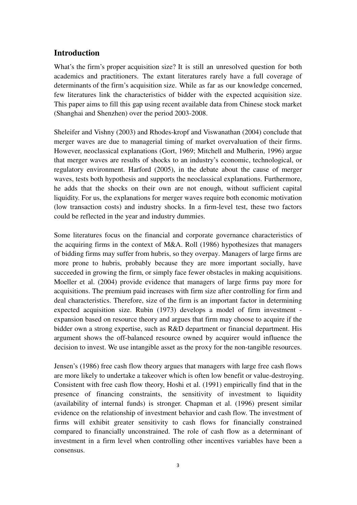### **Introduction**

What's the firm's proper acquisition size? It is still an unresolved question for both academics and practitioners. The extant literatures rarely have a full coverage of determinants of the firm's acquisition size. While as far as our knowledge concerned, few literatures link the characteristics of bidder with the expected acquisition size. This paper aims to fill this gap using recent available data from Chinese stock market (Shanghai and Shenzhen) over the period 2003-2008.

Sheleifer and Vishny (2003) and Rhodes-kropf and Viswanathan (2004) conclude that merger waves are due to managerial timing of market overvaluation of their firms. However, neoclassical explanations (Gort, 1969; Mitchell and Mulherin, 1996) argue that merger waves are results of shocks to an industry's economic, technological, or regulatory environment. Harford (2005), in the debate about the cause of merger waves, tests both hypothesis and supports the neoclassical explanations. Furthermore, he adds that the shocks on their own are not enough, without sufficient capital liquidity. For us, the explanations for merger waves require both economic motivation (low transaction costs) and industry shocks. In a firm-level test, these two factors could be reflected in the year and industry dummies.

Some literatures focus on the financial and corporate governance characteristics of the acquiring firms in the context of M&A. Roll (1986) hypothesizes that managers of bidding firms may suffer from hubris, so they overpay. Managers of large firms are more prone to hubris, probably because they are more important socially, have succeeded in growing the firm, or simply face fewer obstacles in making acquisitions. Moeller et al. (2004) provide evidence that managers of large firms pay more for acquisitions. The premium paid increases with firm size after controlling for firm and deal characteristics. Therefore, size of the firm is an important factor in determining expected acquisition size. Rubin (1973) develops a model of firm investment expansion based on resource theory and argues that firm may choose to acquire if the bidder own a strong expertise, such as R&D department or financial department. His argument shows the off-balanced resource owned by acquirer would influence the decision to invest. We use intangible asset as the proxy for the non-tangible resources.

Jensen's (1986) free cash flow theory argues that managers with large free cash flows are more likely to undertake a takeover which is often low benefit or value-destroying. Consistent with free cash flow theory, Hoshi et al. (1991) empirically find that in the presence of financing constraints, the sensitivity of investment to liquidity (availability of internal funds) is stronger. Chapman et al. (1996) present similar evidence on the relationship of investment behavior and cash flow. The investment of firms will exhibit greater sensitivity to cash flows for financially constrained compared to financially unconstrained. The role of cash flow as a determinant of investment in a firm level when controlling other incentives variables have been a consensus.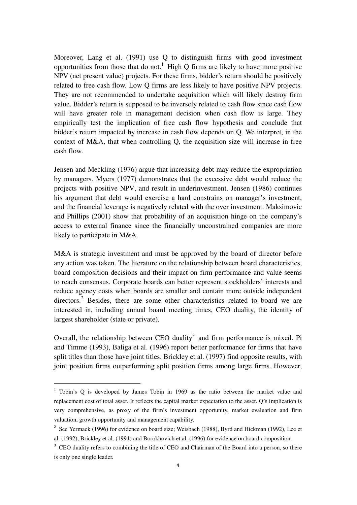Moreover, Lang et al. (1991) use Q to distinguish firms with good investment opportunities from those that do not.<sup>1</sup> High Q firms are likely to have more positive NPV (net present value) projects. For these firms, bidder's return should be positively related to free cash flow. Low Q firms are less likely to have positive NPV projects. They are not recommended to undertake acquisition which will likely destroy firm value. Bidder's return is supposed to be inversely related to cash flow since cash flow will have greater role in management decision when cash flow is large. They empirically test the implication of free cash flow hypothesis and conclude that bidder's return impacted by increase in cash flow depends on Q. We interpret, in the context of M&A, that when controlling Q, the acquisition size will increase in free cash flow.

Jensen and Meckling (1976) argue that increasing debt may reduce the expropriation by managers. Myers (1977) demonstrates that the excessive debt would reduce the projects with positive NPV, and result in underinvestment. Jensen (1986) continues his argument that debt would exercise a hard constrains on manager's investment, and the financial leverage is negatively related with the over investment. Maksimovic and Phillips (2001) show that probability of an acquisition hinge on the company's access to external finance since the financially unconstrained companies are more likely to participate in M&A.

M&A is strategic investment and must be approved by the board of director before any action was taken. The literature on the relationship between board characteristics, board composition decisions and their impact on firm performance and value seems to reach consensus. Corporate boards can better represent stockholders' interests and reduce agency costs when boards are smaller and contain more outside independent directors.<sup>2</sup> Besides, there are some other characteristics related to board we are interested in, including annual board meeting times, CEO duality, the identity of largest shareholder (state or private).

Overall, the relationship between CEO duality<sup>3</sup> and firm performance is mixed. Pi and Timme (1993), Baliga et al. (1996) report better performance for firms that have split titles than those have joint titles. Brickley et al. (1997) find opposite results, with joint position firms outperforming split position firms among large firms. However,

 $\overline{a}$ 

<sup>&</sup>lt;sup>1</sup> Tobin's Q is developed by James Tobin in 1969 as the ratio between the market value and replacement cost of total asset. It reflects the capital market expectation to the asset. Q's implication is very comprehensive, as proxy of the firm's investment opportunity, market evaluation and firm valuation, growth opportunity and management capability.

<sup>&</sup>lt;sup>2</sup> See Yermack (1996) for evidence on board size; Weisbach (1988), Byrd and Hickman (1992), Lee et al. (1992), Brickley et al. (1994) and Borokhovich et al. (1996) for evidence on board composition.

<sup>&</sup>lt;sup>3</sup> CEO duality refers to combining the title of CEO and Chairman of the Board into a person, so there is only one single leader.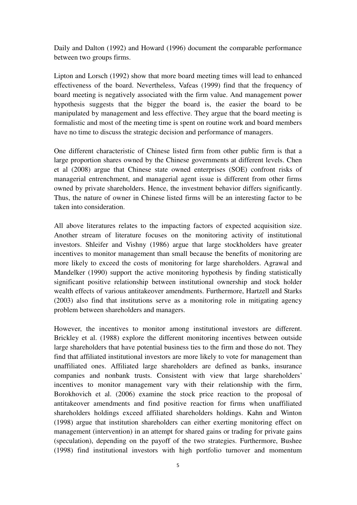Daily and Dalton (1992) and Howard (1996) document the comparable performance between two groups firms.

Lipton and Lorsch (1992) show that more board meeting times will lead to enhanced effectiveness of the board. Nevertheless, Vafeas (1999) find that the frequency of board meeting is negatively associated with the firm value. And management power hypothesis suggests that the bigger the board is, the easier the board to be manipulated by management and less effective. They argue that the board meeting is formalistic and most of the meeting time is spent on routine work and board members have no time to discuss the strategic decision and performance of managers.

One different characteristic of Chinese listed firm from other public firm is that a large proportion shares owned by the Chinese governments at different levels. Chen et al (2008) argue that Chinese state owned enterprises (SOE) confront risks of managerial entrenchment, and managerial agent issue is different from other firms owned by private shareholders. Hence, the investment behavior differs significantly. Thus, the nature of owner in Chinese listed firms will be an interesting factor to be taken into consideration.

All above literatures relates to the impacting factors of expected acquisition size. Another stream of literature focuses on the monitoring activity of institutional investors. Shleifer and Vishny (1986) argue that large stockholders have greater incentives to monitor management than small because the benefits of monitoring are more likely to exceed the costs of monitoring for large shareholders. Agrawal and Mandelker (1990) support the active monitoring hypothesis by finding statistically significant positive relationship between institutional ownership and stock holder wealth effects of various antitakeover amendments. Furthermore, Hartzell and Starks (2003) also find that institutions serve as a monitoring role in mitigating agency problem between shareholders and managers.

However, the incentives to monitor among institutional investors are different. Brickley et al. (1988) explore the different monitoring incentives between outside large shareholders that have potential business ties to the firm and those do not. They find that affiliated institutional investors are more likely to vote for management than unaffiliated ones. Affiliated large shareholders are defined as banks, insurance companies and nonbank trusts. Consistent with view that large shareholders' incentives to monitor management vary with their relationship with the firm, Borokhovich et al. (2006) examine the stock price reaction to the proposal of antitakeover amendments and find positive reaction for firms when unaffiliated shareholders holdings exceed affiliated shareholders holdings. Kahn and Winton (1998) argue that institution shareholders can either exerting monitoring effect on management (intervention) in an attempt for shared gains or trading for private gains (speculation), depending on the payoff of the two strategies. Furthermore, Bushee (1998) find institutional investors with high portfolio turnover and momentum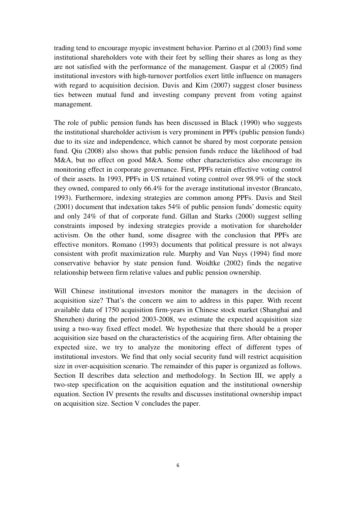trading tend to encourage myopic investment behavior. Parrino et al (2003) find some institutional shareholders vote with their feet by selling their shares as long as they are not satisfied with the performance of the management. Gaspar et al (2005) find institutional investors with high-turnover portfolios exert little influence on managers with regard to acquisition decision. Davis and Kim (2007) suggest closer business ties between mutual fund and investing company prevent from voting against management.

The role of public pension funds has been discussed in Black (1990) who suggests the institutional shareholder activism is very prominent in PPFs (public pension funds) due to its size and independence, which cannot be shared by most corporate pension fund. Qiu (2008) also shows that public pension funds reduce the likelihood of bad M&A, but no effect on good M&A. Some other characteristics also encourage its monitoring effect in corporate governance. First, PPFs retain effective voting control of their assets. In 1993, PPFs in US retained voting control over 98.9% of the stock they owned, compared to only 66.4% for the average institutional investor (Brancato, 1993). Furthermore, indexing strategies are common among PPFs. Davis and Steil (2001) document that indexation takes 54% of public pension funds' domestic equity and only 24% of that of corporate fund. Gillan and Starks (2000) suggest selling constraints imposed by indexing strategies provide a motivation for shareholder activism. On the other hand, some disagree with the conclusion that PPFs are effective monitors. Romano (1993) documents that political pressure is not always consistent with profit maximization rule. Murphy and Van Nuys (1994) find more conservative behavior by state pension fund. Woidtke (2002) finds the negative relationship between firm relative values and public pension ownership.

Will Chinese institutional investors monitor the managers in the decision of acquisition size? That's the concern we aim to address in this paper. With recent available data of 1750 acquisition firm-years in Chinese stock market (Shanghai and Shenzhen) during the period 2003-2008, we estimate the expected acquisition size using a two-way fixed effect model. We hypothesize that there should be a proper acquisition size based on the characteristics of the acquiring firm. After obtaining the expected size, we try to analyze the monitoring effect of different types of institutional investors. We find that only social security fund will restrict acquisition size in over-acquisition scenario. The remainder of this paper is organized as follows. Section II describes data selection and methodology. In Section III, we apply a two-step specification on the acquisition equation and the institutional ownership equation. Section IV presents the results and discusses institutional ownership impact on acquisition size. Section V concludes the paper.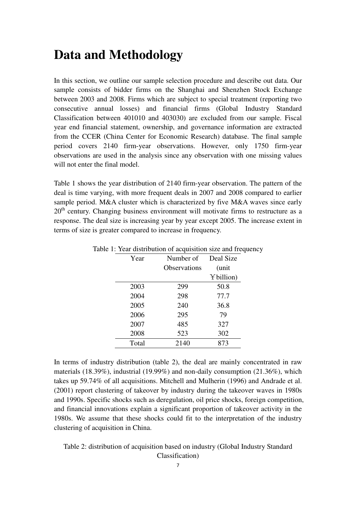## **Data and Methodology**

In this section, we outline our sample selection procedure and describe out data. Our sample consists of bidder firms on the Shanghai and Shenzhen Stock Exchange between 2003 and 2008. Firms which are subject to special treatment (reporting two consecutive annual losses) and financial firms (Global Industry Standard Classification between 401010 and 403030) are excluded from our sample. Fiscal year end financial statement, ownership, and governance information are extracted from the CCER (China Center for Economic Research) database. The final sample period covers 2140 firm-year observations. However, only 1750 firm-year observations are used in the analysis since any observation with one missing values will not enter the final model.

Table 1 shows the year distribution of 2140 firm-year observation. The pattern of the deal is time varying, with more frequent deals in 2007 and 2008 compared to earlier sample period. M&A cluster which is characterized by five M&A waves since early  $20<sup>th</sup>$  century. Changing business environment will motivate firms to restructure as a response. The deal size is increasing year by year except 2005. The increase extent in terms of size is greater compared to increase in frequency.

| Number of           | Deal Size |
|---------------------|-----------|
| <b>Observations</b> | (unit     |
|                     | Ybillion) |
| 299                 | 50.8      |
| 298                 | 77.7      |
| 240                 | 36.8      |
| 295                 | 79        |
| 485                 | 327       |
| 523                 | 302       |
| 2140                | 873       |
|                     |           |

Table 1: Year distribution of acquisition size and frequency

In terms of industry distribution (table 2), the deal are mainly concentrated in raw materials (18.39%), industrial (19.99%) and non-daily consumption (21.36%), which takes up 59.74% of all acquisitions. Mitchell and Mulherin (1996) and Andrade et al. (2001) report clustering of takeover by industry during the takeover waves in 1980s and 1990s. Specific shocks such as deregulation, oil price shocks, foreign competition, and financial innovations explain a significant proportion of takeover activity in the 1980s. We assume that these shocks could fit to the interpretation of the industry clustering of acquisition in China.

Table 2: distribution of acquisition based on industry (Global Industry Standard Classification)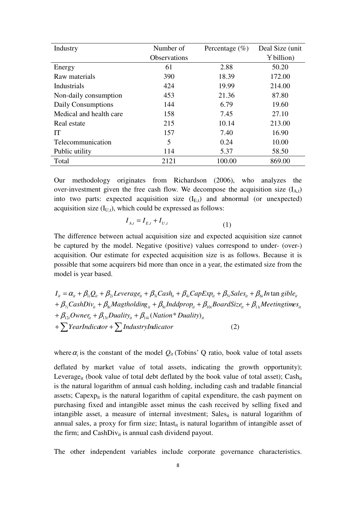| Industry                | Number of           | Percentage $(\% )$ | Deal Size (unit) |
|-------------------------|---------------------|--------------------|------------------|
|                         | <b>Observations</b> |                    | Y billion)       |
| Energy                  | 61                  | 2.88               | 50.20            |
| Raw materials           | 390                 | 18.39              | 172.00           |
| <b>Industrials</b>      | 424                 | 19.99              | 214.00           |
| Non-daily consumption   | 453                 | 21.36              | 87.80            |
| Daily Consumptions      | 144                 | 6.79               | 19.60            |
| Medical and health care | 158                 | 7.45               | 27.10            |
| Real estate             | 215                 | 10.14              | 213.00           |
| IT                      | 157                 | 7.40               | 16.90            |
| Telecommunication       | 5                   | 0.24               | 10.00            |
| Public utility          | 114                 | 5.37               | 58.50            |
| Total                   | 2121                | 100.00             | 869.00           |

Our methodology originates from Richardson (2006), who analyzes the over-investment given the free cash flow. We decompose the acquisition size  $(I_A_t)$ into two parts: expected acquisition size  $(I_{E,t})$  and abnormal (or unexpected) acquisition size  $(I_{U,t})$ , which could be expressed as follows:

$$
I_{A,t} = I_{E,t} + I_{U,t}
$$
 (1)

The difference between actual acquisition size and expected acquisition size cannot be captured by the model. Negative (positive) values correspond to under- (over-) acquisition. Our estimate for expected acquisition size is as follows. Because it is possible that some acquirers bid more than once in a year, the estimated size from the model is year based.

 $(2)$  $+ \beta_{12i}$ Owner $_{it}$  +  $\beta_{13i}$ Duality $_{it}$  +  $\beta_{14i}$ (Nation\* Duality) $_{it}$  $I_{it} = \alpha_{it} + \beta_{li}Q_{it} + \beta_{2i}Leverage_{it} + \beta_{3i}Cash_{it} + \beta_{4i} Cap Exp_{it} + \beta_{5i} Sales_{it} + \beta_{6i} In \tan gible_{it}$  $+\beta_{\gamma i}CashDiv_{it} + \beta_{8i}Magtholding_{it} + \beta_{9i}Inddrop_{it} + \beta_{10i}BoardSize_{it} + \beta_{11i} Meetingtimes_{it}$ <sup>+</sup>∑ <sup>+</sup>∑ *YearIndicator IndustryIndicator*

where  $\alpha_i$  is the constant of the model  $Q_i$  (Tobins' Q ratio, book value of total assets

deflated by market value of total assets, indicating the growth opportunity); Leverage<sub>it</sub> (book value of total debt deflated by the book value of total asset); Cash<sub>it</sub> is the natural logarithm of annual cash holding, including cash and tradable financial assets; Capex $p_{it}$  is the natural logarithm of capital expenditure, the cash payment on purchasing fixed and intangible asset minus the cash received by selling fixed and intangible asset, a measure of internal investment; Sales $_{it}$  is natural logarithm of annual sales, a proxy for firm size; Intast<sub>it</sub> is natural logarithm of intangible asset of the firm; and  $CashDiv_{it}$  is annual cash dividend payout.

The other independent variables include corporate governance characteristics.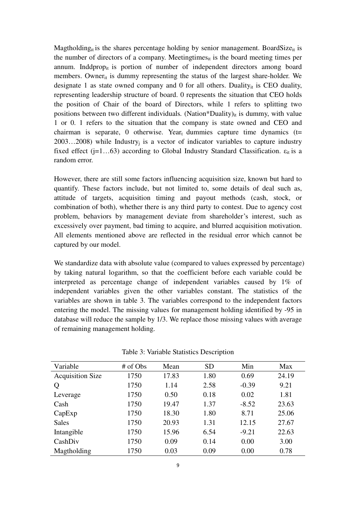Magtholding<sub>it</sub> is the shares percentage holding by senior management. BoardSize<sub>it</sub> is the number of directors of a company. Meetingtimes $s_{it}$  is the board meeting times per annum. Inddpropit is portion of number of independent directors among board members. Owner $_{it}$  is dummy representing the status of the largest share-holder. We designate 1 as state owned company and 0 for all others. Duality<sub>it</sub> is CEO duality, representing leadership structure of board. 0 represents the situation that CEO holds the position of Chair of the board of Directors, while 1 refers to splitting two positions between two different individuals. (Nation\*Duality)<sub>it</sub> is dummy, with value 1 or 0. 1 refers to the situation that the company is state owned and CEO and chairman is separate, 0 otherwise. Year<sub>t</sub> dummies capture time dynamics ( $t=$  $2003...2008$ ) while Industry<sub>i</sub> is a vector of indicator variables to capture industry fixed effect (j=1...63) according to Global Industry Standard Classification.  $\varepsilon_{it}$  is a random error.

However, there are still some factors influencing acquisition size, known but hard to quantify. These factors include, but not limited to, some details of deal such as, attitude of targets, acquisition timing and payout methods (cash, stock, or combination of both), whether there is any third party to contest. Due to agency cost problem, behaviors by management deviate from shareholder's interest, such as excessively over payment, bad timing to acquire, and blurred acquisition motivation. All elements mentioned above are reflected in the residual error which cannot be captured by our model.

We standardize data with absolute value (compared to values expressed by percentage) by taking natural logarithm, so that the coefficient before each variable could be interpreted as percentage change of independent variables caused by 1% of independent variables given the other variables constant. The statistics of the variables are shown in table 3. The variables correspond to the independent factors entering the model. The missing values for management holding identified by -95 in database will reduce the sample by 1/3. We replace those missing values with average of remaining management holding.

| Variable                | # of Obs | Mean  | <b>SD</b> | Min     | Max   |
|-------------------------|----------|-------|-----------|---------|-------|
| <b>Acquisition Size</b> | 1750     | 17.83 | 1.80      | 0.69    | 24.19 |
| Q                       | 1750     | 1.14  | 2.58      | $-0.39$ | 9.21  |
| Leverage                | 1750     | 0.50  | 0.18      | 0.02    | 1.81  |
| Cash                    | 1750     | 19.47 | 1.37      | $-8.52$ | 23.63 |
| CapExp                  | 1750     | 18.30 | 1.80      | 8.71    | 25.06 |
| <b>Sales</b>            | 1750     | 20.93 | 1.31      | 12.15   | 27.67 |
| Intangible              | 1750     | 15.96 | 6.54      | $-9.21$ | 22.63 |
| CashDiv                 | 1750     | 0.09  | 0.14      | 0.00    | 3.00  |
| Magtholding             | 1750     | 0.03  | 0.09      | 0.00    | 0.78  |

Table 3: Variable Statistics Description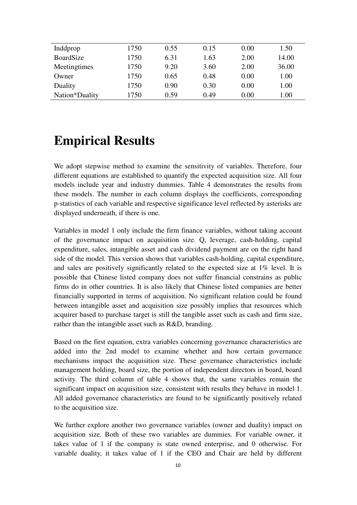| Inddprop       | 1750 | 0.55 | 0.15 | 0.00 | 1.50  |
|----------------|------|------|------|------|-------|
| BoardSize      | 1750 | 6.31 | 1.63 | 2.00 | 14.00 |
| Meetingtimes   | 1750 | 9.20 | 3.60 | 2.00 | 36.00 |
| Owner          | 1750 | 0.65 | 0.48 | 0.00 | 1.00  |
| Duality        | 1750 | 0.90 | 0.30 | 0.00 | 1.00  |
| Nation*Duality | 1750 | 0.59 | 0.49 | 0.00 | 1.00  |

## **Empirical Results**

We adopt stepwise method to examine the sensitivity of variables. Therefore, four different equations are established to quantify the expected acquisition size. All four models include year and industry dummies. Table 4 demonstrates the results from these models. The number in each column displays the coefficients, corresponding p-statistics of each variable and respective significance level reflected by asterisks are displayed underneath, if there is one.

Variables in model 1 only include the firm finance variables, without taking account of the governance impact on acquisition size. Q, leverage, cash-holding, capital expenditure, sales, intangible asset and cash dividend payment are on the right hand side of the model. This version shows that variables cash-holding, capital expenditure, and sales are positively significantly related to the expected size at 1% level. It is possible that Chinese listed company does not suffer financial constrains as public firms do in other countries. It is also likely that Chinese listed companies are better financially supported in terms of acquisition. No significant relation could be found between intangible asset and acquisition size possibly implies that resources which acquirer based to purchase target is still the tangible asset such as cash and firm size, rather than the intangible asset such as R&D, branding.

Based on the first equation, extra variables concerning governance characteristics are added into the 2nd model to examine whether and how certain governance mechanisms impact the acquisition size. These governance characteristics include management holding, board size, the portion of independent directors in board, board activity. The third column of table 4 shows that, the same variables remain the significant impact on acquisition size, consistent with results they behave in model 1. All added governance characteristics are found to be significantly positively related to the acquisition size.

We further explore another two governance variables (owner and duality) impact on acquisition size. Both of these two variables are dummies. For variable owner, it takes value of 1 if the company is state owned enterprise, and 0 otherwise. For variable duality, it takes value of 1 if the CEO and Chair are held by different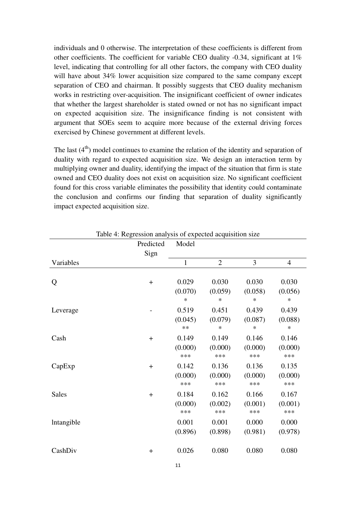individuals and 0 otherwise. The interpretation of these coefficients is different from other coefficients. The coefficient for variable CEO duality -0.34, significant at 1% level, indicating that controlling for all other factors, the company with CEO duality will have about 34% lower acquisition size compared to the same company except separation of CEO and chairman. It possibly suggests that CEO duality mechanism works in restricting over-acquisition. The insignificant coefficient of owner indicates that whether the largest shareholder is stated owned or not has no significant impact on expected acquisition size. The insignificance finding is not consistent with argument that SOEs seem to acquire more because of the external driving forces exercised by Chinese government at different levels.

The last  $(4<sup>th</sup>)$  model continues to examine the relation of the identity and separation of duality with regard to expected acquisition size. We design an interaction term by multiplying owner and duality, identifying the impact of the situation that firm is state owned and CEO duality does not exist on acquisition size. No significant coefficient found for this cross variable eliminates the possibility that identity could contaminate the conclusion and confirms our finding that separation of duality significantly impact expected acquisition size.

|              | Predicted | Model   |                |         |                |
|--------------|-----------|---------|----------------|---------|----------------|
|              | Sign      |         |                |         |                |
| Variables    |           | 1       | $\overline{2}$ | 3       | $\overline{4}$ |
|              |           |         |                |         |                |
| Q            | $+$       | 0.029   | 0.030          | 0.030   | 0.030          |
|              |           | (0.070) | (0.059)        | (0.058) | (0.056)        |
|              |           | $\ast$  | $\ast$         | $\ast$  | $\ast$         |
| Leverage     |           | 0.519   | 0.451          | 0.439   | 0.439          |
|              |           | (0.045) | (0.079)        | (0.087) | (0.088)        |
|              |           | $**$    | $\ast$         | $\ast$  | $\ast$         |
| Cash         | $+$       | 0.149   | 0.149          | 0.146   | 0.146          |
|              |           | (0.000) | (0.000)        | (0.000) | (0.000)        |
|              |           | ***     | ***            | ***     | ***            |
| CapExp       | $+$       | 0.142   | 0.136          | 0.136   | 0.135          |
|              |           | (0.000) | (0.000)        | (0.000) | (0.000)        |
|              |           | ***     | ***            | ***     | ***            |
| <b>Sales</b> | $+$       | 0.184   | 0.162          | 0.166   | 0.167          |
|              |           | (0.000) | (0.002)        | (0.001) | (0.001)        |
|              |           | ***     | ***            | ***     | ***            |
| lntangible   |           | 0.001   | 0.001          | 0.000   | 0.000          |
|              |           | (0.896) | (0.898)        | (0.981) | (0.978)        |
| CashDiv      | $+$       | 0.026   | 0.080          | 0.080   | 0.080          |

Table 4: Regression analysis of expected acquisition size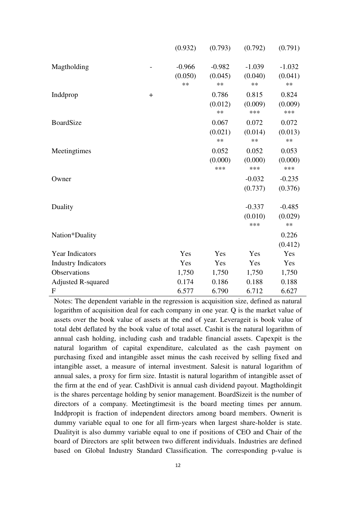|                            |       | (0.932)  | (0.793)  | (0.792)  | (0.791)  |
|----------------------------|-------|----------|----------|----------|----------|
| Magtholding                |       | $-0.966$ | $-0.982$ | $-1.039$ | $-1.032$ |
|                            |       | (0.050)  | (0.045)  | (0.040)  | (0.041)  |
|                            |       | **       | **       | **       | **       |
| Inddprop                   | $\pm$ |          | 0.786    | 0.815    | 0.824    |
|                            |       |          | (0.012)  | (0.009)  | (0.009)  |
|                            |       |          | $**$     | ***      | ***      |
| <b>BoardSize</b>           |       |          | 0.067    | 0.072    | 0.072    |
|                            |       |          | (0.021)  | (0.014)  | (0.013)  |
|                            |       |          | **       | **       | $**$     |
| Meetingtimes               |       |          | 0.052    | 0.052    | 0.053    |
|                            |       |          | (0.000)  | (0.000)  | (0.000)  |
|                            |       |          | ***      | ***      | ***      |
| Owner                      |       |          |          | $-0.032$ | $-0.235$ |
|                            |       |          |          | (0.737)  | (0.376)  |
| Duality                    |       |          |          | $-0.337$ | $-0.485$ |
|                            |       |          |          | (0.010)  | (0.029)  |
|                            |       |          |          | ***      | $**$     |
| Nation*Duality             |       |          |          |          | 0.226    |
|                            |       |          |          |          | (0.412)  |
| <b>Year Indicators</b>     |       | Yes      | Yes      | Yes      | Yes      |
| <b>Industry Indicators</b> |       | Yes      | Yes      | Yes      | Yes      |
| Observations               |       | 1,750    | 1,750    | 1,750    | 1,750    |
| <b>Adjusted R-squared</b>  |       | 0.174    | 0.186    | 0.188    | 0.188    |
| $\mathbf{F}$               |       | 6.577    | 6.790    | 6.712    | 6.627    |

Notes: The dependent variable in the regression is acquisition size, defined as natural logarithm of acquisition deal for each company in one year. Q is the market value of assets over the book value of assets at the end of year. Leverageit is book value of total debt deflated by the book value of total asset. Cashit is the natural logarithm of annual cash holding, including cash and tradable financial assets. Capexpit is the natural logarithm of capital expenditure, calculated as the cash payment on purchasing fixed and intangible asset minus the cash received by selling fixed and intangible asset, a measure of internal investment. Salesit is natural logarithm of annual sales, a proxy for firm size. Intastit is natural logarithm of intangible asset of the firm at the end of year. CashDivit is annual cash dividend payout. Magtholdingit is the shares percentage holding by senior management. BoardSizeit is the number of directors of a company. Meetingtimesit is the board meeting times per annum. Inddpropit is fraction of independent directors among board members. Ownerit is dummy variable equal to one for all firm-years when largest share-holder is state. Dualityit is also dummy variable equal to one if positions of CEO and Chair of the board of Directors are split between two different individuals. Industries are defined based on Global Industry Standard Classification. The corresponding p-value is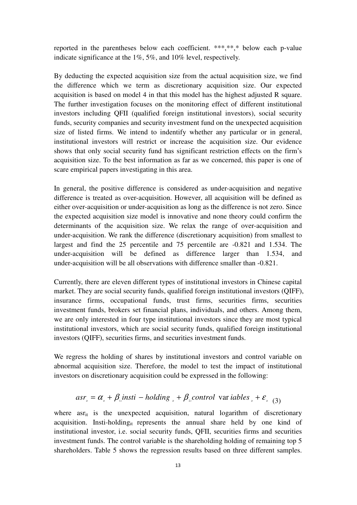reported in the parentheses below each coefficient. \*\*\*,\*\*,\* below each p-value indicate significance at the 1%, 5%, and 10% level, respectively.

By deducting the expected acquisition size from the actual acquisition size, we find the difference which we term as discretionary acquisition size. Our expected acquisition is based on model 4 in that this model has the highest adjusted R square. The further investigation focuses on the monitoring effect of different institutional investors including QFII (qualified foreign institutional investors), social security funds, security companies and security investment fund on the unexpected acquisition size of listed firms. We intend to indentify whether any particular or in general, institutional investors will restrict or increase the acquisition size. Our evidence shows that only social security fund has significant restriction effects on the firm's acquisition size. To the best information as far as we concerned, this paper is one of scare empirical papers investigating in this area.

In general, the positive difference is considered as under-acquisition and negative difference is treated as over-acquisition. However, all acquisition will be defined as either over-acquisition or under-acquisition as long as the difference is not zero. Since the expected acquisition size model is innovative and none theory could confirm the determinants of the acquisition size. We relax the range of over-acquisition and under-acquisition. We rank the difference (discretionary acquisition) from smallest to largest and find the 25 percentile and 75 percentile are -0.821 and 1.534. The under-acquisition will be defined as difference larger than 1.534, and under-acquisition will be all observations with difference smaller than -0.821.

Currently, there are eleven different types of institutional investors in Chinese capital market. They are social security funds, qualified foreign institutional investors (QIFF), insurance firms, occupational funds, trust firms, securities firms, securities investment funds, brokers set financial plans, individuals, and others. Among them, we are only interested in four type institutional investors since they are most typical institutional investors, which are social security funds, qualified foreign institutional investors (QIFF), securities firms, and securities investment funds.

We regress the holding of shares by institutional investors and control variable on abnormal acquisition size. Therefore, the model to test the impact of institutional investors on discretionary acquisition could be expressed in the following:

$$
asr_{\scriptscriptstyle u} = \alpha_{\scriptscriptstyle u} + \beta_{\scriptscriptstyle u}insti - holding_{\scriptscriptstyle u} + \beta_{\scriptscriptstyle u} control \ \ \text{var} \ iables_{\scriptscriptstyle u} + \varepsilon_{\scriptscriptstyle u} \ (3)
$$

where  $\text{as} r_{\text{it}}$  is the unexpected acquisition, natural logarithm of discretionary acquisition. Insti-holding<sub>it</sub> represents the annual share held by one kind of institutional investor, i.e. social security funds, QFII, securities firms and securities investment funds. The control variable is the shareholding holding of remaining top 5 shareholders. Table 5 shows the regression results based on three different samples.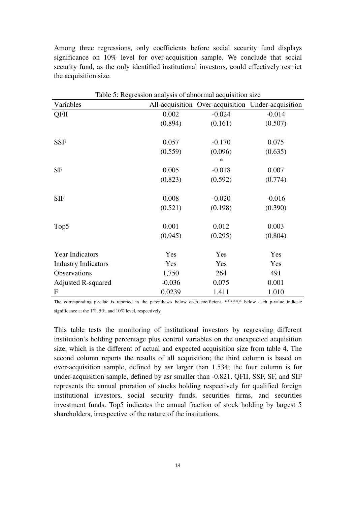Among three regressions, only coefficients before social security fund displays significance on 10% level for over-acquisition sample. We conclude that social security fund, as the only identified institutional investors, could effectively restrict the acquisition size.

| Table 5: Regression analysis of abnormal acquisition size |          |          |                                                    |  |
|-----------------------------------------------------------|----------|----------|----------------------------------------------------|--|
| Variables                                                 |          |          | All-acquisition Over-acquisition Under-acquisition |  |
| QFII                                                      | 0.002    | $-0.024$ | $-0.014$                                           |  |
|                                                           | (0.894)  | (0.161)  | (0.507)                                            |  |
| <b>SSF</b>                                                | 0.057    | $-0.170$ | 0.075                                              |  |
|                                                           | (0.559)  | (0.096)  | (0.635)                                            |  |
|                                                           |          | ∗        |                                                    |  |
| <b>SF</b>                                                 | 0.005    | $-0.018$ | 0.007                                              |  |
|                                                           | (0.823)  | (0.592)  | (0.774)                                            |  |
| <b>SIF</b>                                                | 0.008    | $-0.020$ | $-0.016$                                           |  |
|                                                           | (0.521)  | (0.198)  | (0.390)                                            |  |
| Top <sub>5</sub>                                          | 0.001    | 0.012    | 0.003                                              |  |
|                                                           | (0.945)  | (0.295)  | (0.804)                                            |  |
| <b>Year Indicators</b>                                    | Yes      | Yes      | Yes                                                |  |
| <b>Industry Indicators</b>                                | Yes      | Yes      | Yes                                                |  |
| Observations                                              | 1,750    | 264      | 491                                                |  |
| <b>Adjusted R-squared</b>                                 | $-0.036$ | 0.075    | 0.001                                              |  |
| $\mathbf{F}$                                              | 0.0239   | 1.411    | 1.010                                              |  |

The corresponding p-value is reported in the parentheses below each coefficient. \*\*\*,\*\*,\* below each p-value indicate significance at the 1%, 5%, and 10% level, respectively.

This table tests the monitoring of institutional investors by regressing different institution's holding percentage plus control variables on the unexpected acquisition size, which is the different of actual and expected acquisition size from table 4. The second column reports the results of all acquisition; the third column is based on over-acquisition sample, defined by asr larger than 1.534; the four column is for under-acquisition sample, defined by asr smaller than -0.821. QFII, SSF, SF, and SIF represents the annual proration of stocks holding respectively for qualified foreign institutional investors, social security funds, securities firms, and securities investment funds. Top5 indicates the annual fraction of stock holding by largest 5 shareholders, irrespective of the nature of the institutions.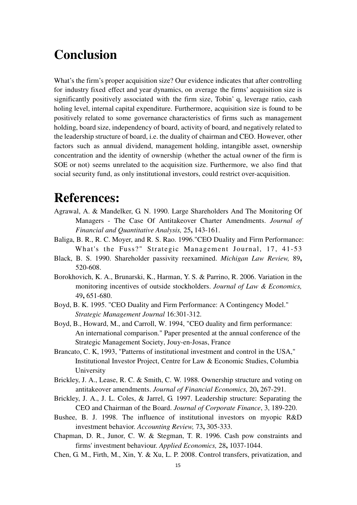## **Conclusion**

What's the firm's proper acquisition size? Our evidence indicates that after controlling for industry fixed effect and year dynamics, on average the firms' acquisition size is significantly positively associated with the firm size, Tobin' q, leverage ratio, cash holing level, internal capital expenditure. Furthermore, acquisition size is found to be positively related to some governance characteristics of firms such as management holding, board size, independency of board, activity of board, and negatively related to the leadership structure of board, i.e. the duality of chairman and CEO. However, other factors such as annual dividend, management holding, intangible asset, ownership concentration and the identity of ownership (whether the actual owner of the firm is SOE or not) seems unrelated to the acquisition size. Furthermore, we also find that social security fund, as only institutional investors, could restrict over-acquisition.

## **References:**

- Agrawal, A. & Mandelker, G. N. 1990. Large Shareholders And The Monitoring Of Managers - The Case Of Antitakeover Charter Amendments. *Journal of Financial and Quantitative Analysis,* 25**,** 143-161.
- Baliga, B. R., R. C. Moyer, and R. S. Rao. 1996."CEO Duality and Firm Performance: What's the Fuss?" Strategic Management Journal, 17, 41-53
- Black, B. S. 1990. Shareholder passivity reexamined. *Michigan Law Review,* 89**,** 520-608.
- Borokhovich, K. A., Brunarski, K., Harman, Y. S. & Parrino, R. 2006. Variation in the monitoring incentives of outside stockholders. *Journal of Law & Economics,* 49**,** 651-680.
- Boyd, B. K. 1995. "CEO Duality and Firm Performance: A Contingency Model." *Strategic Management Journal* 16:301-312.
- Boyd, B., Howard, M., and Carroll, W. 1994, "CEO duality and firm performance: An international comparison." Paper presented at the annual conference of the Strategic Management Society, Jouy-en-Josas, France
- Brancato, C. K, 1993, "Patterns of institutional investment and control in the USA," Institutional Investor Project, Centre for Law & Economic Studies, Columbia University
- Brickley, J. A., Lease, R. C. & Smith, C. W. 1988. Ownership structure and voting on antitakeover amendments. *Journal of Financial Economics,* 20**,** 267-291.
- Brickley, J. A., J. L. Coles, & Jarrel, G. 1997. Leadership structure: Separating the CEO and Chairman of the Board. *Journal of Corporate Finance*, 3, 189-220.
- Bushee, B. J. 1998. The influence of institutional investors on myopic R&D investment behavior. *Accounting Review,* 73**,** 305-333.
- Chapman, D. R., Junor, C. W. & Stegman, T. R. 1996. Cash pow constraints and firms' investment behaviour. *Applied Economics,* 28**,** 1037-1044.
- Chen, G. M., Firth, M., Xin, Y. & Xu, L. P. 2008. Control transfers, privatization, and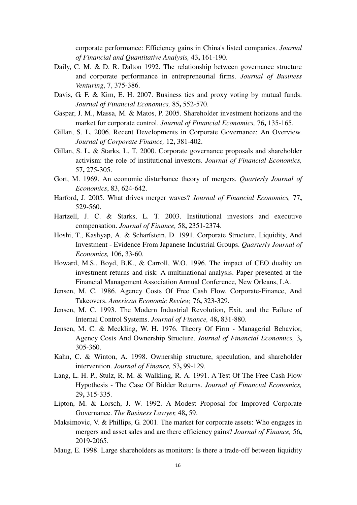corporate performance: Efficiency gains in China's listed companies. *Journal of Financial and Quantitative Analysis,* 43**,** 161-190.

- Daily, C. M. & D. R. Dalton 1992. The relationship between governance structure and corporate performance in entrepreneurial firms. *Journal of Business Venturing*, 7, 375-386.
- Davis, G. F. & Kim, E. H. 2007. Business ties and proxy voting by mutual funds. *Journal of Financial Economics,* 85**,** 552-570.
- Gaspar, J. M., Massa, M. & Matos, P. 2005. Shareholder investment horizons and the market for corporate control. *Journal of Financial Economics,* 76**,** 135-165.
- Gillan, S. L. 2006. Recent Developments in Corporate Governance: An Overview. *Journal of Corporate Finance,* 12**,** 381-402.
- Gillan, S. L. & Starks, L. T. 2000. Corporate governance proposals and shareholder activism: the role of institutional investors. *Journal of Financial Economics,* 57**,** 275-305.
- Gort, M. 1969. An economic disturbance theory of mergers. *Quarterly Journal of Economics*, 83, 624-642.
- Harford, J. 2005. What drives merger waves? *Journal of Financial Economics,* 77**,** 529-560.
- Hartzell, J. C. & Starks, L. T. 2003. Institutional investors and executive compensation. *Journal of Finance,* 58**,** 2351-2374.
- Hoshi, T., Kashyap, A. & Scharfstein, D. 1991. Corporate Structure, Liquidity, And Investment - Evidence From Japanese Industrial Groups. *Quarterly Journal of Economics,* 106**,** 33-60.
- Howard, M.S., Boyd, B.K., & Carroll, W.O. 1996. The impact of CEO duality on investment returns and risk: A multinational analysis. Paper presented at the Financial Management Association Annual Conference, New Orleans, LA.
- Jensen, M. C. 1986. Agency Costs Of Free Cash Flow, Corporate-Finance, And Takeovers. *American Economic Review,* 76**,** 323-329.
- Jensen, M. C. 1993. The Modern Industrial Revolution, Exit, and the Failure of Internal Control Systems. *Journal of Finance,* 48**,** 831-880.
- Jensen, M. C. & Meckling, W. H. 1976. Theory Of Firm Managerial Behavior, Agency Costs And Ownership Structure. *Journal of Financial Economics,* 3**,** 305-360.
- Kahn, C. & Winton, A. 1998. Ownership structure, speculation, and shareholder intervention. *Journal of Finance,* 53**,** 99-129.
- Lang, L. H. P., Stulz, R. M. & Walkling, R. A. 1991. A Test Of The Free Cash Flow Hypothesis - The Case Of Bidder Returns. *Journal of Financial Economics,* 29**,** 315-335.
- Lipton, M. & Lorsch, J. W. 1992. A Modest Proposal for Improved Corporate Governance. *The Business Lawyer,* 48**,** 59.
- Maksimovic, V. & Phillips, G. 2001. The market for corporate assets: Who engages in mergers and asset sales and are there efficiency gains? *Journal of Finance,* 56**,** 2019-2065.
- Maug, E. 1998. Large shareholders as monitors: Is there a trade-off between liquidity